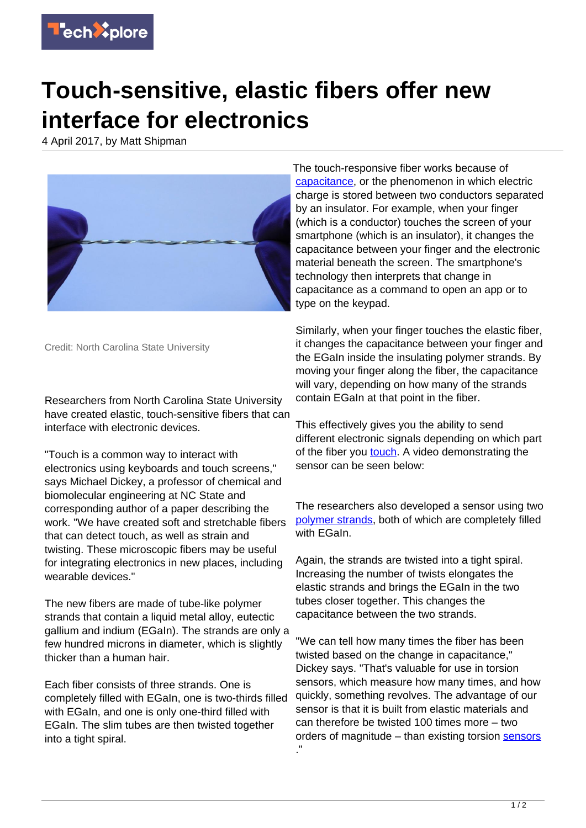

## **Touch-sensitive, elastic fibers offer new interface for electronics**

4 April 2017, by Matt Shipman



Credit: North Carolina State University

Researchers from North Carolina State University have created elastic, touch-sensitive fibers that can interface with electronic devices.

"Touch is a common way to interact with electronics using keyboards and touch screens," says Michael Dickey, a professor of chemical and biomolecular engineering at NC State and corresponding author of a paper describing the work. "We have created soft and stretchable fibers that can detect touch, as well as strain and twisting. These microscopic fibers may be useful for integrating electronics in new places, including wearable devices."

The new fibers are made of tube-like polymer strands that contain a liquid metal alloy, eutectic gallium and indium (EGaIn). The strands are only a few hundred microns in diameter, which is slightly thicker than a human hair.

Each fiber consists of three strands. One is completely filled with EGaIn, one is two-thirds filled with EGaIn, and one is only one-third filled with EGaIn. The slim tubes are then twisted together into a tight spiral.

The touch-responsive fiber works because of [capacitance](https://techxplore.com/tags/capacitance/), or the phenomenon in which electric charge is stored between two conductors separated by an insulator. For example, when your finger (which is a conductor) touches the screen of your smartphone (which is an insulator), it changes the capacitance between your finger and the electronic material beneath the screen. The smartphone's technology then interprets that change in capacitance as a command to open an app or to type on the keypad.

Similarly, when your finger touches the elastic fiber, it changes the capacitance between your finger and the EGaIn inside the insulating polymer strands. By moving your finger along the fiber, the capacitance will vary, depending on how many of the strands contain EGaIn at that point in the fiber.

This effectively gives you the ability to send different electronic signals depending on which part of the fiber you [touch](https://techxplore.com/tags/touch/). A video demonstrating the sensor can be seen below:

The researchers also developed a sensor using two [polymer strands,](https://techxplore.com/tags/polymer+strands/) both of which are completely filled with EGaIn.

Again, the strands are twisted into a tight spiral. Increasing the number of twists elongates the elastic strands and brings the EGaIn in the two tubes closer together. This changes the capacitance between the two strands.

"We can tell how many times the fiber has been twisted based on the change in capacitance," Dickey says. "That's valuable for use in torsion sensors, which measure how many times, and how quickly, something revolves. The advantage of our sensor is that it is built from elastic materials and can therefore be twisted 100 times more – two orders of magnitude – than existing torsion [sensors](https://techxplore.com/tags/sensors/) ."